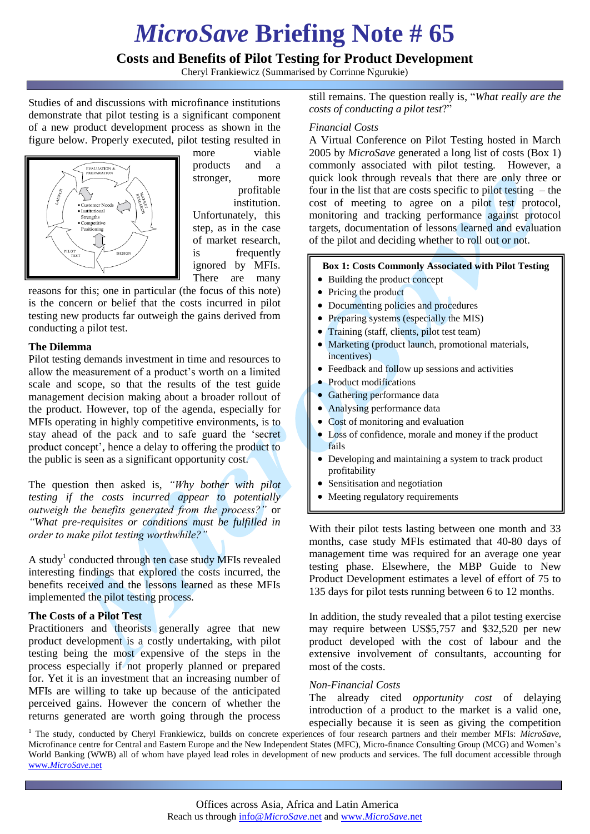# *MicroSave* **Briefing Note # 65**

# **Costs and Benefits of Pilot Testing for Product Development**

Cheryl Frankiewicz (Summarised by Corrinne Ngurukie)

Studies of and discussions with microfinance institutions demonstrate that pilot testing is a significant component of a new product development process as shown in the figure below. Properly executed, pilot testing resulted in



more viable products and a stronger, more profitable institution. Unfortunately, this step, as in the case of market research,

is frequently ignored by MFIs. There are many

reasons for this; one in particular (the focus of this note) is the concern or belief that the costs incurred in pilot testing new products far outweigh the gains derived from conducting a pilot test.

### **The Dilemma**

Pilot testing demands investment in time and resources to allow the measurement of a product"s worth on a limited scale and scope, so that the results of the test guide management decision making about a broader rollout of the product. However, top of the agenda, especially for MFIs operating in highly competitive environments, is to stay ahead of the pack and to safe guard the "secret product concept", hence a delay to offering the product to the public is seen as a significant opportunity cost.

The question then asked is, *"Why bother with pilot testing if the costs incurred appear to potentially outweigh the benefits generated from the process?"* or *"What pre-requisites or conditions must be fulfilled in order to make pilot testing worthwhile?"*

A study<sup>1</sup> conducted through ten case study MFIs revealed interesting findings that explored the costs incurred, the benefits received and the lessons learned as these MFIs implemented the pilot testing process.

## **The Costs of a Pilot Test**

Practitioners and theorists generally agree that new product development is a costly undertaking, with pilot testing being the most expensive of the steps in the process especially if not properly planned or prepared for. Yet it is an investment that an increasing number of MFIs are willing to take up because of the anticipated perceived gains. However the concern of whether the returns generated are worth going through the process still remains. The question really is, "*What really are the costs of conducting a pilot test*?"

#### *Financial Costs*

A Virtual Conference on Pilot Testing hosted in March 2005 by *MicroSave* generated a long list of costs (Box 1) commonly associated with pilot testing. However, a quick look through reveals that there are only three or four in the list that are costs specific to pilot testing – the cost of meeting to agree on a pilot test protocol, monitoring and tracking performance against protocol targets, documentation of lessons learned and evaluation of the pilot and deciding whether to roll out or not.

#### **Box 1: Costs Commonly Associated with Pilot Testing**

- Building the product concept
- Pricing the product
- Documenting policies and procedures
- Preparing systems (especially the MIS)
- Training (staff, clients, pilot test team)
- Marketing (product launch, promotional materials, incentives)
- Feedback and follow up sessions and activities
- Product modifications
- Gathering performance data
- Analysing performance data
- Cost of monitoring and evaluation
- Loss of confidence, morale and money if the product fails
- Developing and maintaining a system to track product profitability
- Sensitisation and negotiation
- Meeting regulatory requirements

With their pilot tests lasting between one month and 33 months, case study MFIs estimated that 40-80 days of management time was required for an average one year testing phase. Elsewhere, the MBP Guide to New Product Development estimates a level of effort of 75 to 135 days for pilot tests running between 6 to 12 months.

In addition, the study revealed that a pilot testing exercise may require between US\$5,757 and \$32,520 per new product developed with the cost of labour and the extensive involvement of consultants, accounting for most of the costs.

#### *Non-Financial Costs*

The already cited *opportunity cost* of delaying introduction of a product to the market is a valid one, especially because it is seen as giving the competition

<sup>1</sup> The study, conducted by Cheryl Frankiewicz, builds on concrete experiences of four research partners and their member MFIs: *MicroSave*, Microfinance centre for Central and Eastern Europe and the New Independent States (MFC), Micro-finance Consulting Group (MCG) and Women"s World Banking (WWB) all of whom have played lead roles in development of new products and services. The full document accessible through www.*[MicroSave](http://www.microsave.net/)*.net